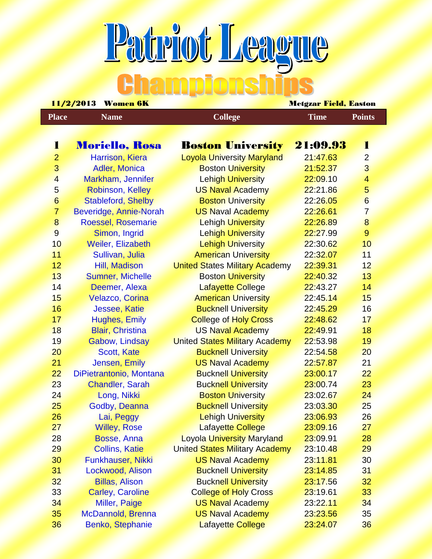## Patriot League

|                         | $11/2$ / $2010$<br><u>women on</u> |                                       | <mark>Nicigzar Fielu, Pas</mark> ton |                         |  |  |
|-------------------------|------------------------------------|---------------------------------------|--------------------------------------|-------------------------|--|--|
| <b>Place</b>            | <b>Name</b>                        | <b>College</b>                        | <b>Time</b>                          | <b>Points</b>           |  |  |
|                         |                                    |                                       |                                      |                         |  |  |
| 1                       | <b>Moriello, Rosa</b>              | <b>Boston University</b>              | 21:09.93                             | Ŧ                       |  |  |
| $\overline{2}$          | Harrison, Kiera                    | <b>Loyola University Maryland</b>     | 21:47.63                             | $\overline{2}$          |  |  |
| 3                       | Adler, Monica                      | <b>Boston University</b>              | 21:52.37                             | $\overline{3}$          |  |  |
| $\overline{\mathbf{4}}$ | Markham, Jennifer                  | <b>Lehigh University</b>              | 22:09.10                             | $\overline{\mathbf{4}}$ |  |  |
| $5\overline{)}$         | Robinson, Kelley                   | <b>US Naval Academy</b>               | 22:21.86                             | 5                       |  |  |
| $6 \overline{}$         | Stableford, Shelby                 | <b>Boston University</b>              | 22:26.05                             | $6\phantom{a}$          |  |  |
| $\overline{7}$          | Beveridge, Annie-Norah             | <b>US Naval Academy</b>               | 22:26.61                             | $\overline{7}$          |  |  |
| $\bf 8$                 | <b>Roessel, Rosemarie</b>          | <b>Lehigh University</b>              | 22:26.89                             | 8                       |  |  |
| $\overline{9}$          | Simon, Ingrid                      | <b>Lehigh University</b>              | 22:27.99                             | $\overline{9}$          |  |  |
| 10                      | Weiler, Elizabeth                  | <b>Lehigh University</b>              | 22:30.62                             | 10                      |  |  |
| 11                      | Sullivan, Julia                    | <b>American University</b>            | 22:32.07                             | 11                      |  |  |
| 12                      | Hill, Madison                      | <b>United States Military Academy</b> | 22:39.31                             | 12                      |  |  |
| 13                      | <b>Sumner, Michelle</b>            | <b>Boston University</b>              | 22:40.32                             | 13                      |  |  |
| 14                      | Deemer, Alexa                      | Lafayette College                     | 22:43.27                             | 14                      |  |  |
| 15                      | <b>Velazco, Corina</b>             | <b>American University</b>            | 22:45.14                             | 15                      |  |  |
| 16                      | Jessee, Katie                      | <b>Bucknell University</b>            | 22:45.29                             | 16                      |  |  |
| 17                      | <b>Hughes, Emily</b>               | <b>College of Holy Cross</b>          | 22:48.62                             | 17                      |  |  |
| 18                      | <b>Blair, Christina</b>            | <b>US Naval Academy</b>               | 22:49.91                             | 18                      |  |  |
| 19                      | Gabow, Lindsay                     | <b>United States Military Academy</b> | 22:53.98                             | 19                      |  |  |
| 20                      | Scott, Kate                        | <b>Bucknell University</b>            | 22:54.58                             | 20                      |  |  |
| 21                      | Jensen, Emily                      | <b>US Naval Academy</b>               | 22:57.87                             | 21                      |  |  |
| 22                      | DiPietrantonio, Montana            | <b>Bucknell University</b>            | 23:00.17                             | 22                      |  |  |
| 23                      | <b>Chandler, Sarah</b>             | <b>Bucknell University</b>            | 23:00.74                             | 23                      |  |  |
| 24                      | Long, Nikki                        | <b>Boston University</b>              | 23:02.67                             | 24                      |  |  |
| 25                      | Godby, Deanna                      | <b>Bucknell University</b>            | 23:03.30                             | 25                      |  |  |
| 26                      | Lai, Peggy                         | <b>Lehigh University</b>              | 23:06.93                             | 26                      |  |  |
| 27                      | <b>Willey, Rose</b>                | <b>Lafayette College</b>              | 23:09.16                             | 27                      |  |  |
| 28                      | Bosse, Anna                        | <b>Loyola University Maryland</b>     | 23:09.91                             | 28                      |  |  |
| 29                      | <b>Collins, Katie</b>              | <b>United States Military Academy</b> | 23:10.48                             | 29                      |  |  |
| 30                      | Funkhauser, Nikki                  | <b>US Naval Academy</b>               | 23:11.81                             | 30                      |  |  |
| 31                      | Lockwood, Alison                   | <b>Bucknell University</b>            | 23:14.85                             | 31                      |  |  |
| 32                      | <b>Billas, Alison</b>              | <b>Bucknell University</b>            | 23:17.56                             | 32                      |  |  |
| 33                      | <b>Carley, Caroline</b>            | <b>College of Holy Cross</b>          | 23:19.61                             | 33                      |  |  |
| 34                      | Miller, Paige                      | <b>US Naval Academy</b>               | 23:22.11                             | 34                      |  |  |
| 35                      | McDannold, Brenna                  | <b>US Naval Academy</b>               | 23:23.56                             | 35                      |  |  |
| 36                      | Benko, Stephanie                   | <b>Lafayette College</b>              | 23:24.07                             | 36                      |  |  |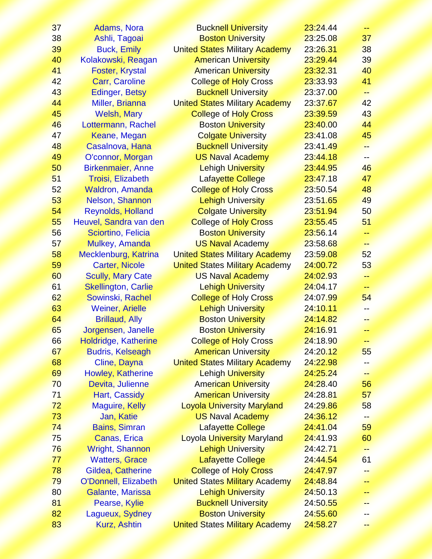| 37 | Adams, Nora                 | <b>Bucknell University</b>            | 23:24.44 | 44   |
|----|-----------------------------|---------------------------------------|----------|------|
| 38 | Ashli, Tagoai               | <b>Boston University</b>              | 23:25.08 | 37   |
| 39 | <b>Buck, Emily</b>          | <b>United States Military Academy</b> | 23:26.31 | 38   |
| 40 | Kolakowski, Reagan          | <b>American University</b>            | 23:29.44 | 39   |
| 41 | <b>Foster, Krystal</b>      | <b>American University</b>            | 23:32.31 | 40   |
| 42 | <b>Carr, Caroline</b>       | <b>College of Holy Cross</b>          | 23:33.93 | 41   |
| 43 | <b>Edinger, Betsy</b>       | <b>Bucknell University</b>            | 23:37.00 | 44   |
| 44 | Miller, Brianna             | <b>United States Military Academy</b> | 23:37.67 | 42   |
| 45 | <b>Welsh, Mary</b>          | <b>College of Holy Cross</b>          | 23:39.59 | 43   |
| 46 | Lottermann, Rachel          | <b>Boston University</b>              | 23:40.00 | 44   |
| 47 | Keane, Megan                | <b>Colgate University</b>             | 23:41.08 | 45   |
| 48 | Casalnova, Hana             | <b>Bucknell University</b>            | 23:41.49 | ÷÷   |
| 49 | O'connor, Morgan            | <b>US Naval Academy</b>               | 23:44.18 |      |
| 50 | <b>Birkenmaier, Anne</b>    | <b>Lehigh University</b>              | 23:44.95 | 46   |
| 51 | Troisi, Elizabeth           | Lafayette College                     | 23:47.18 | 47   |
| 52 | <b>Waldron, Amanda</b>      | <b>College of Holy Cross</b>          | 23:50.54 | 48   |
| 53 | Nelson, Shannon             | <b>Lehigh University</b>              | 23:51.65 | 49   |
| 54 | <b>Reynolds, Holland</b>    | <b>Colgate University</b>             | 23:51.94 | 50   |
| 55 | Heuvel, Sandra van den      | <b>College of Holy Cross</b>          | 23:55.45 | 51   |
| 56 | Sciortino, Felicia          | <b>Boston University</b>              | 23:56.14 |      |
| 57 | Mulkey, Amanda              | <b>US Naval Academy</b>               | 23:58.68 | ÷÷.  |
| 58 | Mecklenburg, Katrina        | <b>United States Military Academy</b> | 23:59.08 | 52   |
| 59 | <b>Carter, Nicole</b>       | <b>United States Military Academy</b> | 24:00.72 | 53   |
| 60 | <b>Scully, Mary Cate</b>    | <b>US Naval Academy</b>               | 24:02.93 | يديد |
| 61 | <b>Skellington, Carlie</b>  | <b>Lehigh University</b>              | 24:04.17 | --   |
| 62 | Sowinski, Rachel            | <b>College of Holy Cross</b>          | 24:07.99 | 54   |
| 63 | <b>Weiner, Arielle</b>      | <b>Lehigh University</b>              | 24:10.11 |      |
| 64 | <b>Brillaud, Ally</b>       | <b>Boston University</b>              | 24:14.82 | --   |
| 65 | Jorgensen, Janelle          | <b>Boston University</b>              | 24:16.91 | ≕    |
| 66 | Holdridge, Katherine        | <b>College of Holy Cross</b>          | 24:18.90 |      |
| 67 | <b>Budris, Kelseagh</b>     | <b>American University</b>            | 24:20.12 | 55   |
| 68 | Cline, Dayna                | <b>United States Military Academy</b> | 24:22.98 |      |
| 69 | Howley, Katherine           | <b>Lehigh University</b>              | 24:25.24 | --   |
| 70 | Devita, Julienne            | <b>American University</b>            | 24:28.40 | 56   |
| 71 | Hart, Cassidy               | <b>American University</b>            | 24:28.81 | 57   |
| 72 | <b>Maguire, Kelly</b>       | <b>Loyola University Maryland</b>     | 24:29.86 | 58   |
| 73 | Jan, Katie                  | <b>US Naval Academy</b>               | 24:36.12 |      |
| 74 | <b>Bains, Simran</b>        | <b>Lafayette College</b>              | 24:41.04 | 59   |
| 75 | Canas, Erica                | <b>Loyola University Maryland</b>     | 24:41.93 | 60   |
| 76 | <b>Wright, Shannon</b>      | <b>Lehigh University</b>              | 24:42.71 |      |
| 77 | <b>Watters, Grace</b>       | <b>Lafayette College</b>              | 24:44.54 | 61   |
| 78 | Gildea, Catherine           | <b>College of Holy Cross</b>          | 24:47.97 |      |
| 79 | <b>O'Donnell, Elizabeth</b> | <b>United States Military Academy</b> | 24:48.84 |      |
| 80 | Galante, Marissa            | <b>Lehigh University</b>              | 24:50.13 |      |
| 81 | Pearse, Kylie               | <b>Bucknell University</b>            | 24:50.55 |      |
| 82 | Lagueux, Sydney             | <b>Boston University</b>              | 24:55.60 |      |
| 83 | Kurz, Ashtin                | <b>United States Military Academy</b> | 24:58.27 |      |